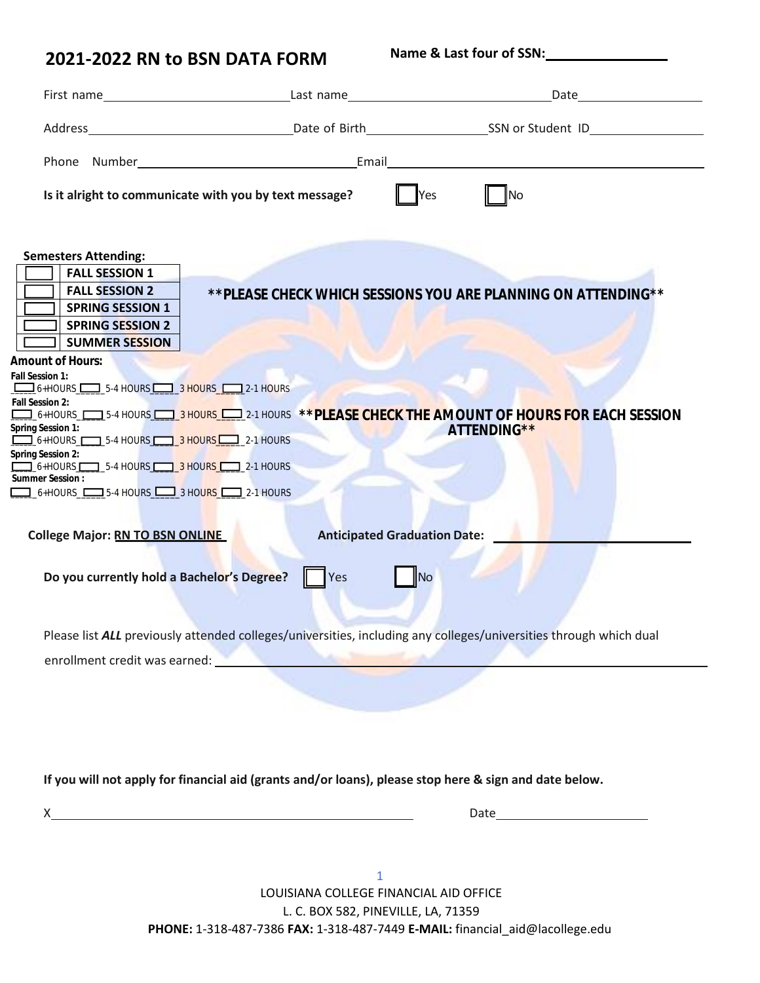| First name Last name Last name Last name Last name Last name Last name Last name Last name Last name Last name Last name Last name Last name Last name Last name Last name Last name Last name Last name Last name Last name L       |     |                                     |                                                                                                                   |
|--------------------------------------------------------------------------------------------------------------------------------------------------------------------------------------------------------------------------------------|-----|-------------------------------------|-------------------------------------------------------------------------------------------------------------------|
|                                                                                                                                                                                                                                      |     |                                     |                                                                                                                   |
|                                                                                                                                                                                                                                      |     |                                     |                                                                                                                   |
| Is it alright to communicate with you by text message?                                                                                                                                                                               |     | Yes                                 | $\mathsf{No}$                                                                                                     |
|                                                                                                                                                                                                                                      |     |                                     |                                                                                                                   |
| <b>Semesters Attending:</b>                                                                                                                                                                                                          |     |                                     |                                                                                                                   |
| <b>FALL SESSION 1</b>                                                                                                                                                                                                                |     |                                     |                                                                                                                   |
| <b>FALL SESSION 2</b>                                                                                                                                                                                                                |     |                                     | ** PLEASE CHECK WHICH SESSIONS YOU ARE PLANNING ON ATTENDING**                                                    |
| <b>SPRING SESSION 1</b>                                                                                                                                                                                                              |     |                                     |                                                                                                                   |
| <b>SPRING SESSION 2</b><br><b>SUMMER SESSION</b>                                                                                                                                                                                     |     |                                     |                                                                                                                   |
| Amount of Hours:                                                                                                                                                                                                                     |     |                                     |                                                                                                                   |
| Fall Session 1:                                                                                                                                                                                                                      |     |                                     |                                                                                                                   |
| 6+HOURS 5-4 HOURS 3 HOURS 2-1 HOURS                                                                                                                                                                                                  |     |                                     |                                                                                                                   |
| Fall Session 2:                                                                                                                                                                                                                      |     |                                     | 6+HOURS_CODIS-4 HOURS_CODIS-18HOURS_CODIS-1 HOURS **PLEASE CHECK THE AMOUNT OF HOURS FOR EACH SESSION             |
| Spring Session 1:                                                                                                                                                                                                                    |     |                                     | ATTENDING**                                                                                                       |
| $\boxed{\phantom{a}}$ 6+HOURS $\phantom{a}$ 5-4 HOURS $\phantom{a}$ 3 HOURS $\phantom{a}$ 2-1 HOURS<br>Spring Session 2:                                                                                                             |     |                                     |                                                                                                                   |
| $\boxed{\phantom{a}}_{6+}$ HOURS $\boxed{\phantom{a}}_{5-}$ 5-4 HOURS $\boxed{\phantom{a}}_{3}$ HOURS $\boxed{\phantom{a}}_{2-}$ 1 HOURS                                                                                             |     |                                     |                                                                                                                   |
| Summer Session:<br>$\Box$ 6+HOURS $\Box$ 5-4 HOURS $\Box$ 3 HOURS $\Box$ 2-1 HOURS                                                                                                                                                   |     |                                     |                                                                                                                   |
|                                                                                                                                                                                                                                      |     |                                     |                                                                                                                   |
| <b>College Major: RN TO BSN ONLINE</b>                                                                                                                                                                                               |     | <b>Anticipated Graduation Date:</b> |                                                                                                                   |
|                                                                                                                                                                                                                                      |     |                                     |                                                                                                                   |
|                                                                                                                                                                                                                                      |     |                                     |                                                                                                                   |
| Do you currently hold a Bachelor's Degree?                                                                                                                                                                                           | Yes | <b>No</b>                           |                                                                                                                   |
|                                                                                                                                                                                                                                      |     |                                     |                                                                                                                   |
|                                                                                                                                                                                                                                      |     |                                     |                                                                                                                   |
|                                                                                                                                                                                                                                      |     |                                     | Please list ALL previously attended colleges/universities, including any colleges/universities through which dual |
| enrollment credit was earned: <b>with a controller controller and controller and controller and controller and controller and controller and controller and controller and controller and controller and controller and controll</b> |     |                                     |                                                                                                                   |
|                                                                                                                                                                                                                                      |     |                                     |                                                                                                                   |
|                                                                                                                                                                                                                                      |     |                                     |                                                                                                                   |

**If you will not apply for financial aid (grants and/or loans), please stop here & sign and date below.**

| £ |  |
|---|--|
|   |  |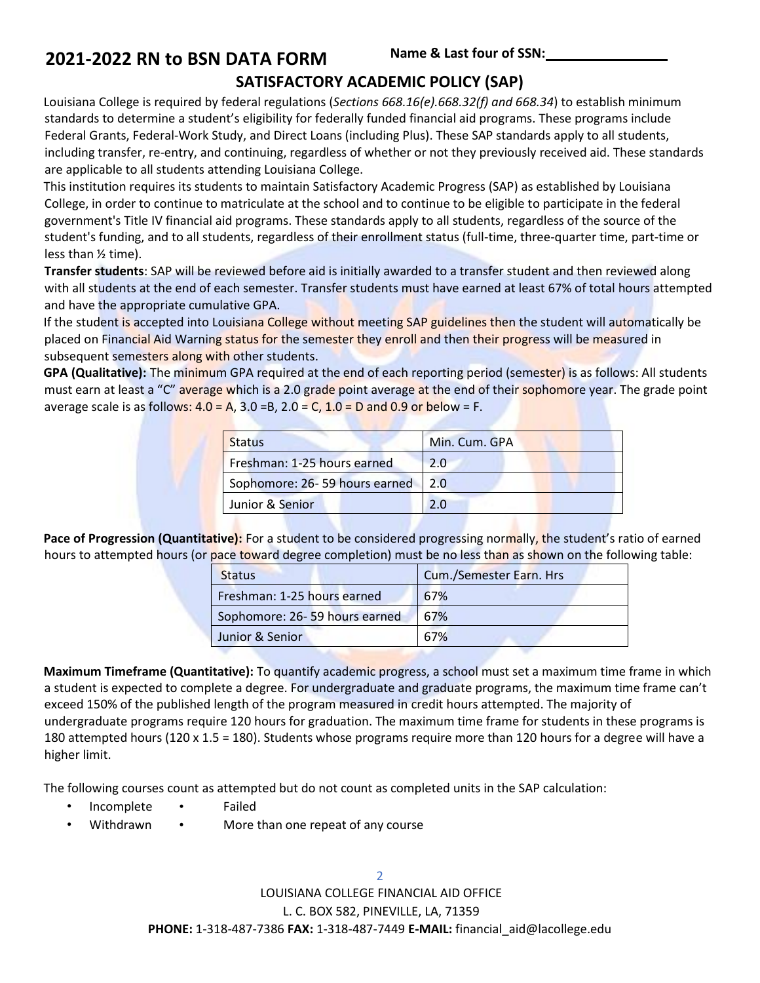## **SATISFACTORY ACADEMIC POLICY (SAP)**

Louisiana College is required by federal regulations (*Sections 668.16(e).668.32(f) and 668.34*) to establish minimum standards to determine a student's eligibility for federally funded financial aid programs. These programs include Federal Grants, Federal-Work Study, and Direct Loans (including Plus). These SAP standards apply to all students, including transfer, re-entry, and continuing, regardless of whether or not they previously received aid. These standards are applicable to all students attending Louisiana College.

This institution requires its students to maintain Satisfactory Academic Progress (SAP) as established by Louisiana College, in order to continue to matriculate at the school and to continue to be eligible to participate in the federal government's Title IV financial aid programs. These standards apply to all students, regardless of the source of the student's funding, and to all students, regardless of their enrollment status (full-time, three-quarter time, part-time or less than ½ time).

**Transfer students**: SAP will be reviewed before aid is initially awarded to a transfer student and then reviewed along with all students at the end of each semester. Transfer students must have earned at least 67% of total hours attempted and have the appropriate cumulative GPA.

If the student is accepted into Louisiana College without meeting SAP guidelines then the student will automatically be placed on Financial Aid Warning status for the semester they enroll and then their progress will be measured in subsequent semesters along with other students.

**GPA (Qualitative):** The minimum GPA required at the end of each reporting period (semester) is as follows: All students must earn at least a "C" average which is a 2.0 grade point average at the end of their sophomore year. The grade point average scale is as follows:  $4.0 = A$ ,  $3.0 = B$ ,  $2.0 = C$ ,  $1.0 = D$  and  $0.9$  or below = F.

| <b>Status</b>                 | Min. Cum. GPA |
|-------------------------------|---------------|
| Freshman: 1-25 hours earned   | 2.0           |
| Sophomore: 26-59 hours earned | 2.0           |
| Junior & Senior               | ን በ           |

Pace of Progression (Quantitative): For a student to be considered progressing normally, the student's ratio of earned hours to attempted hours (or pace toward degree completion) must be no less than as shown on the following table:

| <b>Status</b>                 | <b>Cum./Semester Earn. Hrs</b> |
|-------------------------------|--------------------------------|
| Freshman: 1-25 hours earned   | 67%                            |
| Sophomore: 26-59 hours earned | 67%                            |
| Junior & Senior               | 67%                            |

**Maximum Timeframe (Quantitative):** To quantify academic progress, a school must set a maximum time frame in which a student is expected to complete a degree. For undergraduate and graduate programs, the maximum time frame can't exceed 150% of the published length of the program measured in credit hours attempted. The majority of undergraduate programs require 120 hours for graduation. The maximum time frame for students in these programs is 180 attempted hours (120 x 1.5 = 180). Students whose programs require more than 120 hours for a degree will have a higher limit.

The following courses count as attempted but do not count as completed units in the SAP calculation:

- Incomplete Failed
- Withdrawn More than one repeat of any course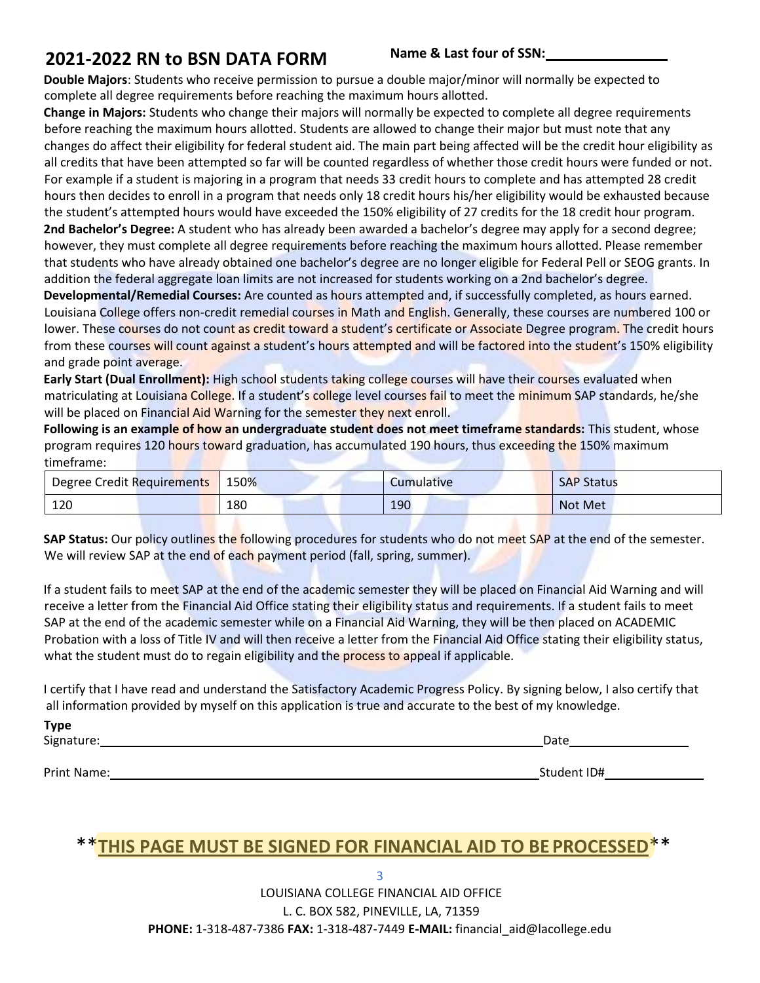**Double Majors**: Students who receive permission to pursue a double major/minor will normally be expected to complete all degree requirements before reaching the maximum hours allotted.

**Change in Majors:** Students who change their majors will normally be expected to complete all degree requirements before reaching the maximum hours allotted. Students are allowed to change their major but must note that any changes do affect their eligibility for federal student aid. The main part being affected will be the credit hour eligibility as all credits that have been attempted so far will be counted regardless of whether those credit hours were funded or not. For example if a student is majoring in a program that needs 33 credit hours to complete and has attempted 28 credit hours then decides to enroll in a program that needs only 18 credit hours his/her eligibility would be exhausted because the student's attempted hours would have exceeded the 150% eligibility of 27 credits for the 18 credit hour program. **2nd Bachelor's Degree:** A student who has already been awarded a bachelor's degree may apply for a second degree; however, they must complete all degree requirements before reaching the maximum hours allotted. Please remember that students who have already obtained one bachelor's degree are no longer eligible for Federal Pell or SEOG grants. In addition the federal aggregate loan limits are not increased for students working on a 2nd bachelor's degree. **Developmental/Remedial Courses:** Are counted as hours attempted and, if successfully completed, as hours earned. Louisiana College offers non-credit remedial courses in Math and English. Generally, these courses are numbered 100 or lower. These courses do not count as credit toward a student's certificate or Associate Degree program. The credit hours from these courses will count against a student's hours attempted and will be factored into the student's 150% eligibility and grade point average.

**Early Start (Dual Enrollment):** High school students taking college courses will have their courses evaluated when matriculating at Louisiana College. If a student's college level courses fail to meet the minimum SAP standards, he/she will be placed on Financial Aid Warning for the semester they next enroll.

**Following is an example of how an undergraduate student does not meet timeframe standards:** This student, whose program requires 120 hours toward graduation, has accumulated 190 hours, thus exceeding the 150% maximum timeframe:

| Degree Credit Requirements | 150% | Cumulative | <b>SAP Status</b> |
|----------------------------|------|------------|-------------------|
| 120                        | 180  | 190        | <b>Not Met</b>    |

**SAP Status:** Our policy outlines the following procedures for students who do not meet SAP at the end of the semester. We will review SAP at the end of each payment period (fall, spring, summer).

If a student fails to meet SAP at the end of the academic semester they will be placed on Financial Aid Warning and will receive a letter from the Financial Aid Office stating their eligibility status and requirements. If a student fails to meet SAP at the end of the academic semester while on a Financial Aid Warning, they will be then placed on ACADEMIC Probation with a loss of Title IV and will then receive a letter from the Financial Aid Office stating their eligibility status, what the student must do to regain eligibility and the process to appeal if applicable.

I certify that I have read and understand the Satisfactory Academic Progress Policy. By signing below, I also certify that all information provided by myself on this application is true and accurate to the best of my knowledge.

| <b>Type</b> |             |
|-------------|-------------|
| Signature:  | Date        |
|             |             |
| Print Name: | Student ID# |

# \*\***THIS PAGE MUST BE SIGNED FOR FINANCIAL AID TO BE PROCESSED**\*\*

3 LOUISIANA COLLEGE FINANCIAL AID OFFICE L. C. BOX 582, PINEVILLE, LA, 71359 **PHONE:** 1-318-487-7386 **FAX:** 1-318-487-7449 **E-MAIL:** [financial\\_aid@lacollege.edu](mailto:financial_aid@lacollege.edu)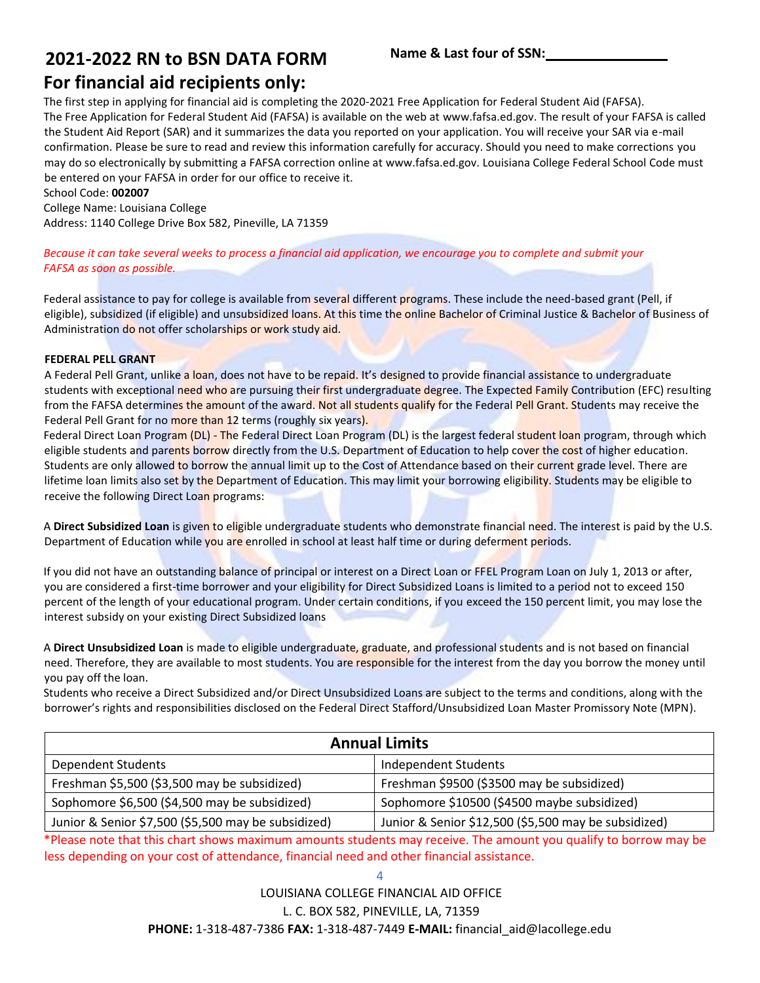## **For financial aid recipients only:**

The first step in applying for financial aid is completing the 2020-2021 Free Application for Federal Student Aid (FAFSA). The Free Application for Federal Student Aid (FAFSA) is available on the web at [www.fafsa.ed.gov. T](http://www.fafsa.ed.gov/)he result of your FAFSA is called the Student Aid Report (SAR) and it summarizes the data you reported on your application. You will receive your SAR via e-mail confirmation. Please be sure to read and review this information carefully for accuracy. Should you need to make corrections you may do so electronically by submitting a FAFSA correction online at [www.fafsa.ed.gov. L](http://www.fafsa.ed.gov/)ouisiana College Federal School Code must be entered on your FAFSA in order for our office to receive it.

School Code: **002007**

College Name: Louisiana College

Address: 1140 College Drive Box 582, Pineville, LA 71359

*Because it can take several weeks to process a financial aid application, we encourage you to complete and submit your FAFSA as soon as possible.*

Federal assistance to pay for college is available from several different programs. These include the need-based grant (Pell, if eligible), subsidized (if eligible) and unsubsidized loans. At this time the online Bachelor of Criminal Justice & Bachelor of Business of Administration do not offer scholarships or work study aid.

#### **FEDERAL PELL GRANT**

A Federal Pell Grant, unlike a loan, does not have to be repaid. It's designed to provide financial assistance to undergraduate students with exceptional need who are pursuing their first undergraduate degree. The Expected Family Contribution (EFC) resulting from the FAFSA determines the amount of the award. Not all students qualify for the Federal Pell Grant. Students may receive the Federal Pell Grant for no more than 12 terms (roughly six years).

Federal Direct Loan Program (DL) - The Federal Direct Loan Program (DL) is the largest federal student loan program, through which eligible students and parents borrow directly from the U.S. Department of Education to help cover the cost of higher education. Students are only allowed to borrow the annual limit up to the Cost of Attendance based on their current grade level. There are lifetime loan limits also set by the Department of Education. This may limit your borrowing eligibility. Students may be eligible to receive the following Direct Loan programs:

A **Direct Subsidized Loan** is given to eligible undergraduate students who demonstrate financial need. The interest is paid by the U.S. Department of Education while you are enrolled in school at least half time or during deferment periods.

If you did not have an outstanding balance of principal or interest on a Direct Loan or FFEL Program Loan on July 1, 2013 or after, you are considered a first-time borrower and your eligibility for Direct Subsidized Loans is limited to a period not to exceed 150 percent of the length of your educational program. Under certain conditions, if you exceed the 150 percent limit, you may lose the interest subsidy on your existing Direct Subsidized loans

A **Direct Unsubsidized Loan** is made to eligible undergraduate, graduate, and professional students and is not based on financial need. Therefore, they are available to most students. You are responsible for the interest from the day you borrow the money until you pay off the loan.

Students who receive a Direct Subsidized and/or Direct Unsubsidized Loans are subject to the terms and conditions, along with the borrower's rights and responsibilities disclosed on the Federal Direct Stafford/Unsubsidized Loan Master Promissory Note (MPN).

| <b>Annual Limits</b>                                |                                                      |  |  |
|-----------------------------------------------------|------------------------------------------------------|--|--|
| <b>Dependent Students</b>                           | Independent Students                                 |  |  |
| Freshman \$5,500 (\$3,500 may be subsidized)        | Freshman \$9500 (\$3500 may be subsidized)           |  |  |
| Sophomore \$6,500 (\$4,500 may be subsidized)       | Sophomore \$10500 (\$4500 maybe subsidized)          |  |  |
| Junior & Senior \$7,500 (\$5,500 may be subsidized) | Junior & Senior \$12,500 (\$5,500 may be subsidized) |  |  |

\*Please note that this chart shows maximum amounts students may receive. The amount you qualify to borrow may be less depending on your cost of attendance, financial need and other financial assistance.

4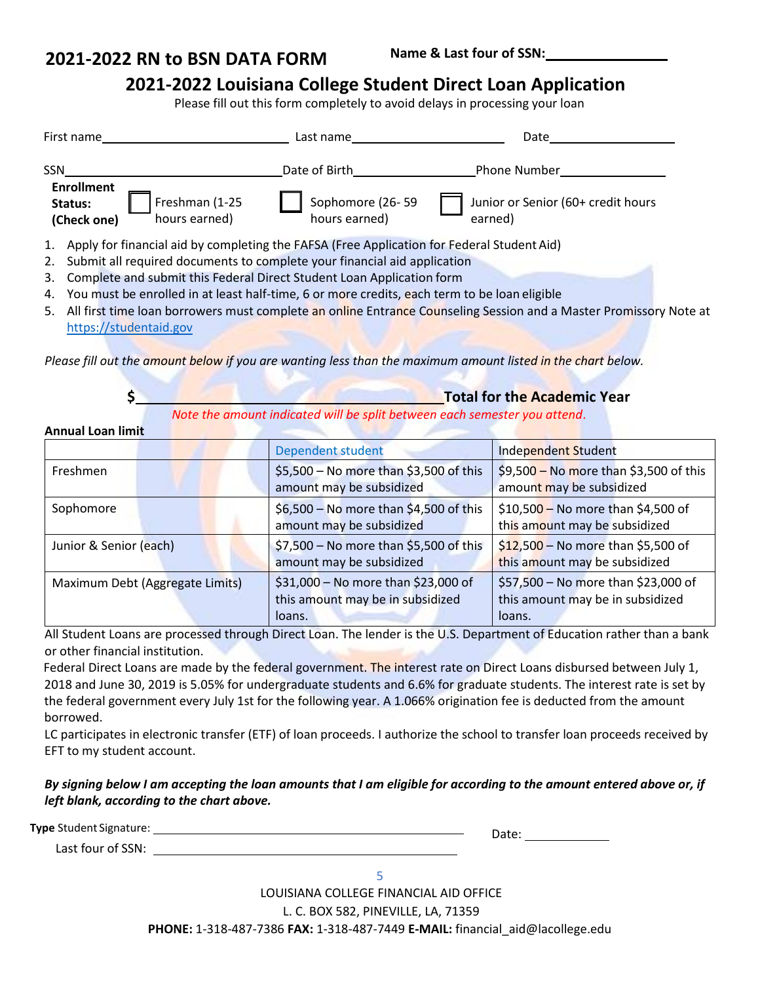## **2021-2022 Louisiana College Student Direct Loan Application**

Please fill out this form completely to avoid delays in processing your loan

|            | First name                                                                                                           | Last name                         | Date                                          |
|------------|----------------------------------------------------------------------------------------------------------------------|-----------------------------------|-----------------------------------------------|
| <b>SSN</b> |                                                                                                                      | Date of Birth                     | Phone Number                                  |
|            | <b>Enrollment</b><br>Freshman (1-25<br>Status:<br>hours earned)<br>(Check one)                                       | Sophomore (26-59<br>hours earned) | Junior or Senior (60+ credit hours<br>earned) |
|            | 1. Apply for financial aid by completing the FAFSA (Free Application for Federal Student Aid)                        |                                   |                                               |
| 2.         | Submit all required documents to complete your financial aid application                                             |                                   |                                               |
| 3.         | Complete and submit this Federal Direct Student Loan Application form                                                |                                   |                                               |
|            | 4. You must be enrolled in at least half-time, 6 or more credits, each term to be loan eligible                      |                                   |                                               |
|            | 5. All first time loan borrowers must complete an online Entrance Counseling Session and a Master Promissory Note at |                                   |                                               |

[https://studentaid.gov](https://studentloans.gov/)

*Please fill out the amount below if you are wanting less than the maximum amount listed in the chart below.*

| <b>Total for the Academic Year</b>                                        |  |
|---------------------------------------------------------------------------|--|
| Note the amount indicated will be split between each semester you attend. |  |

**Annual Loan limit**

|                                 | <b>Dependent student</b>                                                          | Independent Student                                                               |
|---------------------------------|-----------------------------------------------------------------------------------|-----------------------------------------------------------------------------------|
| Freshmen                        | \$5,500 - No more than \$3,500 of this<br>amount may be subsidized                | $$9,500 - No$ more than \$3,500 of this<br>amount may be subsidized               |
| Sophomore                       | \$6,500 - No more than \$4,500 of this<br>amount may be subsidized                | \$10,500 - No more than \$4,500 of<br>this amount may be subsidized               |
| Junior & Senior (each)          | \$7,500 - No more than \$5,500 of this<br>amount may be subsidized                | $$12,500 -$ No more than \$5,500 of<br>this amount may be subsidized              |
| Maximum Debt (Aggregate Limits) | \$31,000 - No more than \$23,000 of<br>this amount may be in subsidized<br>loans. | \$57,500 - No more than \$23,000 of<br>this amount may be in subsidized<br>loans. |

All Student Loans are processed through Direct Loan. The lender is the U.S. Department of Education rather than a bank or other financial institution.

Federal Direct Loans are made by the federal government. The interest rate on Direct Loans disbursed between July 1, 2018 and June 30, 2019 is 5.05% for undergraduate students and 6.6% for graduate students. The interest rate is set by the federal government every July 1st for the following year. A 1.066% origination fee is deducted from the amount borrowed.

LC participates in electronic transfer (ETF) of loan proceeds. I authorize the school to transfer loan proceeds received by EFT to my student account.

## *By signing below I am accepting the loan amounts that I am eligible for according to the amount entered above or, if left blank, according to the chart above.*

**Type** Student Signature:

Date:

Last four of SSN:

5

LOUISIANA COLLEGE FINANCIAL AID OFFICE

L. C. BOX 582, PINEVILLE, LA, 71359

**PHONE:** 1-318-487-7386 **FAX:** 1-318-487-7449 **E-MAIL:** [financial\\_aid@lacollege.edu](mailto:financial_aid@lacollege.edu)